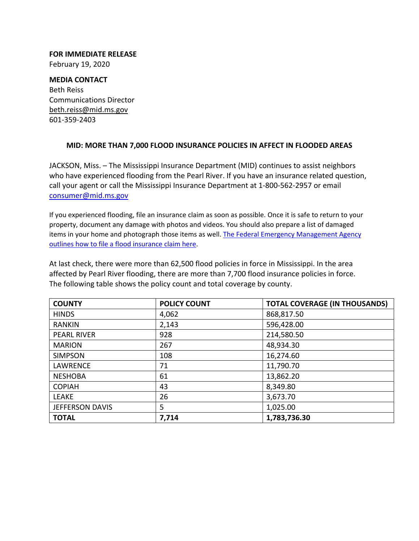**FOR IMMEDIATE RELEASE** February 19, 2020

## **MEDIA CONTACT** Beth Reiss Communications Director beth.reiss@mid.ms.gov 601‐359‐2403

## **MID: MORE THAN 7,000 FLOOD INSURANCE POLICIES IN AFFECT IN FLOODED AREAS**

JACKSON, Miss. – The Mississippi Insurance Department (MID) continues to assist neighbors who have experienced flooding from the Pearl River. If you have an insurance related question, call your agent or call the Mississippi Insurance Department at 1‐800‐562‐2957 or email consumer@mid.ms.gov

If you experienced flooding, file an insurance claim as soon as possible. Once it is safe to return to your property, document any damage with photos and videos. You should also prepare a list of damaged items in your home and photograph those items as well. The Federal Emergency Management Agency outlines how to file a flood insurance claim here.

At last check, there were more than 62,500 flood policies in force in Mississippi. In the area affected by Pearl River flooding, there are more than 7,700 flood insurance policies in force. The following table shows the policy count and total coverage by county.

| <b>COUNTY</b>          | <b>POLICY COUNT</b> | <b>TOTAL COVERAGE (IN THOUSANDS)</b> |
|------------------------|---------------------|--------------------------------------|
| <b>HINDS</b>           | 4,062               | 868,817.50                           |
| <b>RANKIN</b>          | 2,143               | 596,428.00                           |
| <b>PEARL RIVER</b>     | 928                 | 214,580.50                           |
| <b>MARION</b>          | 267                 | 48,934.30                            |
| <b>SIMPSON</b>         | 108                 | 16,274.60                            |
| <b>LAWRENCE</b>        | 71                  | 11,790.70                            |
| <b>NESHOBA</b>         | 61                  | 13,862.20                            |
| <b>COPIAH</b>          | 43                  | 8,349.80                             |
| <b>LEAKE</b>           | 26                  | 3,673.70                             |
| <b>JEFFERSON DAVIS</b> | 5                   | 1,025.00                             |
| <b>TOTAL</b>           | 7,714               | 1,783,736.30                         |